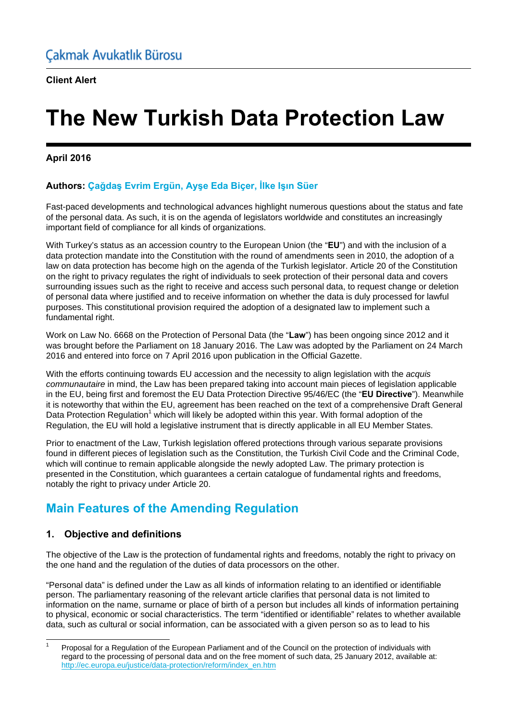# **The New Turkish Data Protection Law**

#### **April 2016**

## **Authors: Çağdaş Evrim Ergün, Ayşe Eda Biçer, İlke Işın Süer**

Fast-paced developments and technological advances highlight numerous questions about the status and fate of the personal data. As such, it is on the agenda of legislators worldwide and constitutes an increasingly important field of compliance for all kinds of organizations.

With Turkey's status as an accession country to the European Union (the "**EU**") and with the inclusion of a data protection mandate into the Constitution with the round of amendments seen in 2010, the adoption of a law on data protection has become high on the agenda of the Turkish legislator. Article 20 of the Constitution on the right to privacy regulates the right of individuals to seek protection of their personal data and covers surrounding issues such as the right to receive and access such personal data, to request change or deletion of personal data where justified and to receive information on whether the data is duly processed for lawful purposes. This constitutional provision required the adoption of a designated law to implement such a fundamental right.

Work on Law No. 6668 on the Protection of Personal Data (the "**Law**") has been ongoing since 2012 and it was brought before the Parliament on 18 January 2016. The Law was adopted by the Parliament on 24 March 2016 and entered into force on 7 April 2016 upon publication in the Official Gazette.

With the efforts continuing towards EU accession and the necessity to align legislation with the *acquis communautaire* in mind, the Law has been prepared taking into account main pieces of legislation applicable in the EU, being first and foremost the EU Data Protection Directive 95/46/EC (the "**EU Directive**"). Meanwhile it is noteworthy that within the EU, agreement has been reached on the text of a comprehensive Draft General Data Protection Regulation<sup>1</sup> which will likely be adopted within this year. With formal adoption of the Regulation, the EU will hold a legislative instrument that is directly applicable in all EU Member States.

Prior to enactment of the Law, Turkish legislation offered protections through various separate provisions found in different pieces of legislation such as the Constitution, the Turkish Civil Code and the Criminal Code, which will continue to remain applicable alongside the newly adopted Law. The primary protection is presented in the Constitution, which guarantees a certain catalogue of fundamental rights and freedoms, notably the right to privacy under Article 20.

# **Main Features of the Amending Regulation**

## **1. Objective and definitions**

The objective of the Law is the protection of fundamental rights and freedoms, notably the right to privacy on the one hand and the regulation of the duties of data processors on the other.

"Personal data" is defined under the Law as all kinds of information relating to an identified or identifiable person. The parliamentary reasoning of the relevant article clarifies that personal data is not limited to information on the name, surname or place of birth of a person but includes all kinds of information pertaining to physical, economic or social characteristics. The term "identified or identifiable" relates to whether available data, such as cultural or social information, can be associated with a given person so as to lead to his

l 1 Proposal for a Regulation of the European Parliament and of the Council on the protection of individuals with regard to the processing of personal data and on the free moment of such data, 25 January 2012, available at: http://ec.europa.eu/justice/data-protection/reform/index\_en.htm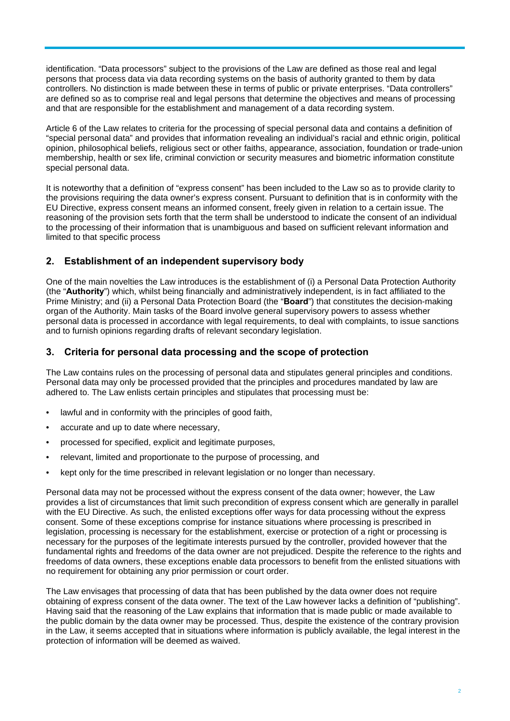identification. "Data processors" subject to the provisions of the Law are defined as those real and legal persons that process data via data recording systems on the basis of authority granted to them by data controllers. No distinction is made between these in terms of public or private enterprises. "Data controllers" are defined so as to comprise real and legal persons that determine the objectives and means of processing and that are responsible for the establishment and management of a data recording system.

Article 6 of the Law relates to criteria for the processing of special personal data and contains a definition of "special personal data" and provides that information revealing an individual's racial and ethnic origin, political opinion, philosophical beliefs, religious sect or other faiths, appearance, association, foundation or trade-union membership, health or sex life, criminal conviction or security measures and biometric information constitute special personal data.

It is noteworthy that a definition of "express consent" has been included to the Law so as to provide clarity to the provisions requiring the data owner's express consent. Pursuant to definition that is in conformity with the EU Directive, express consent means an informed consent, freely given in relation to a certain issue. The reasoning of the provision sets forth that the term shall be understood to indicate the consent of an individual to the processing of their information that is unambiguous and based on sufficient relevant information and limited to that specific process

#### **2. Establishment of an independent supervisory body**

One of the main novelties the Law introduces is the establishment of (i) a Personal Data Protection Authority (the "**Authority**") which, whilst being financially and administratively independent, is in fact affiliated to the Prime Ministry; and (ii) a Personal Data Protection Board (the "**Board**") that constitutes the decision-making organ of the Authority. Main tasks of the Board involve general supervisory powers to assess whether personal data is processed in accordance with legal requirements, to deal with complaints, to issue sanctions and to furnish opinions regarding drafts of relevant secondary legislation.

#### **3. Criteria for personal data processing and the scope of protection**

The Law contains rules on the processing of personal data and stipulates general principles and conditions. Personal data may only be processed provided that the principles and procedures mandated by law are adhered to. The Law enlists certain principles and stipulates that processing must be:

- lawful and in conformity with the principles of good faith,
- accurate and up to date where necessary,
- processed for specified, explicit and legitimate purposes,
- relevant, limited and proportionate to the purpose of processing, and
- kept only for the time prescribed in relevant legislation or no longer than necessary.

Personal data may not be processed without the express consent of the data owner; however, the Law provides a list of circumstances that limit such precondition of express consent which are generally in parallel with the EU Directive. As such, the enlisted exceptions offer ways for data processing without the express consent. Some of these exceptions comprise for instance situations where processing is prescribed in legislation, processing is necessary for the establishment, exercise or protection of a right or processing is necessary for the purposes of the legitimate interests pursued by the controller, provided however that the fundamental rights and freedoms of the data owner are not prejudiced. Despite the reference to the rights and freedoms of data owners, these exceptions enable data processors to benefit from the enlisted situations with no requirement for obtaining any prior permission or court order.

The Law envisages that processing of data that has been published by the data owner does not require obtaining of express consent of the data owner. The text of the Law however lacks a definition of "publishing". Having said that the reasoning of the Law explains that information that is made public or made available to the public domain by the data owner may be processed. Thus, despite the existence of the contrary provision in the Law, it seems accepted that in situations where information is publicly available, the legal interest in the protection of information will be deemed as waived.